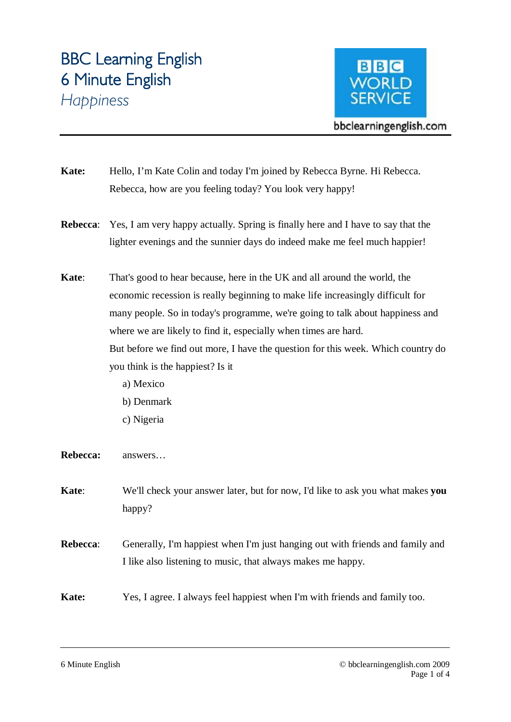# **BBC Learning English 6 Minute English**  *Happiness*



bbclearningenglish.com

- **Kate:** Hello, I'm Kate Colin and today I'm joined by Rebecca Byrne. Hi Rebecca. Rebecca, how are you feeling today? You look very happy!
- **Rebecca**: Yes, I am very happy actually. Spring is finally here and I have to say that the lighter evenings and the sunnier days do indeed make me feel much happier!
- **Kate**: That's good to hear because, here in the UK and all around the world, the economic recession is really beginning to make life increasingly difficult for many people. So in today's programme, we're going to talk about happiness and where we are likely to find it, especially when times are hard. But before we find out more, I have the question for this week. Which country do you think is the happiest? Is it
	- a) Mexico
	- b) Denmark
	- c) Nigeria

**Rebecca:** answers…

**Kate**: We'll check your answer later, but for now, I'd like to ask you what makes **you** happy?

**Rebecca**: Generally, I'm happiest when I'm just hanging out with friends and family and I like also listening to music, that always makes me happy.

**Kate:** Yes, I agree. I always feel happiest when I'm with friends and family too.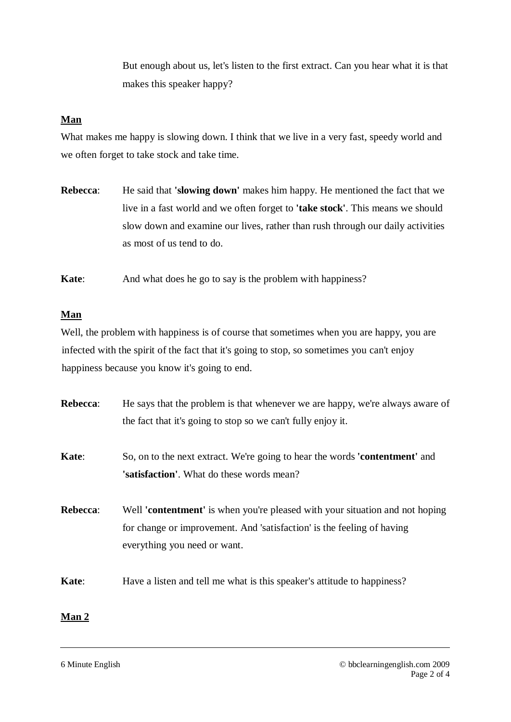But enough about us, let's listen to the first extract. Can you hear what it is that makes this speaker happy?

## **Man**

What makes me happy is slowing down. I think that we live in a very fast, speedy world and we often forget to take stock and take time.

**Rebecca**: He said that **'slowing down'** makes him happy. He mentioned the fact that we live in a fast world and we often forget to **'take stock'**. This means we should slow down and examine our lives, rather than rush through our daily activities as most of us tend to do.

**Kate:** And what does he go to say is the problem with happiness?

### **Man**

Well, the problem with happiness is of course that sometimes when you are happy, you are infected with the spirit of the fact that it's going to stop, so sometimes you can't enjoy happiness because you know it's going to end.

| Rebecca: | He says that the problem is that whenever we are happy, we're always aware of                                                                                                                 |
|----------|-----------------------------------------------------------------------------------------------------------------------------------------------------------------------------------------------|
|          | the fact that it's going to stop so we can't fully enjoy it.                                                                                                                                  |
| Kate:    | So, on to the next extract. We're going to hear the words 'contentment' and<br><b>'satisfaction'.</b> What do these words mean?                                                               |
| Rebecca: | Well <b>'contentment'</b> is when you're pleased with your situation and not hoping<br>for change or improvement. And 'satisfaction' is the feeling of having<br>everything you need or want. |
| Kate:    | Have a listen and tell me what is this speaker's attitude to happiness?                                                                                                                       |

# **Man 2**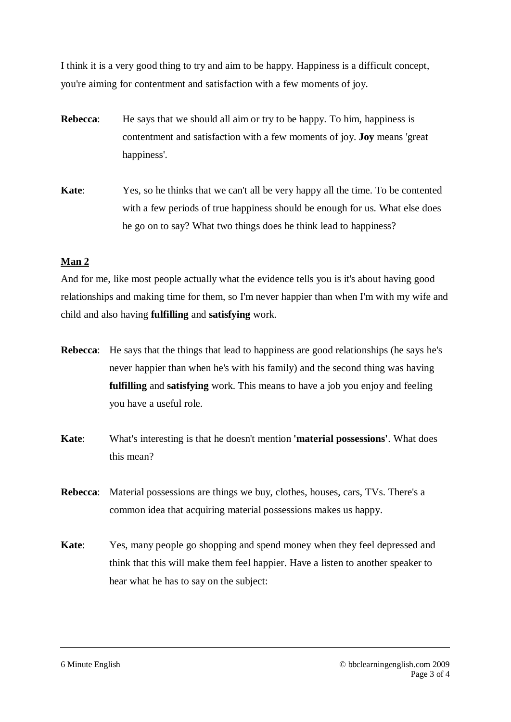I think it is a very good thing to try and aim to be happy. Happiness is a difficult concept, you're aiming for contentment and satisfaction with a few moments of joy.

**Rebecca:** He says that we should all aim or try to be happy. To him, happiness is contentment and satisfaction with a few moments of joy. **Joy** means 'great happiness'.

**Kate**: Yes, so he thinks that we can't all be very happy all the time. To be contented with a few periods of true happiness should be enough for us. What else does he go on to say? What two things does he think lead to happiness?

## **Man 2**

And for me, like most people actually what the evidence tells you is it's about having good relationships and making time for them, so I'm never happier than when I'm with my wife and child and also having **fulfilling** and **satisfying** work.

- **Rebecca**: He says that the things that lead to happiness are good relationships (he says he's never happier than when he's with his family) and the second thing was having **fulfilling** and **satisfying** work. This means to have a job you enjoy and feeling you have a useful role.
- **Kate**: What's interesting is that he doesn't mention **'material possessions'**. What does this mean?
- **Rebecca**: Material possessions are things we buy, clothes, houses, cars, TVs. There's a common idea that acquiring material possessions makes us happy.
- **Kate**: Yes, many people go shopping and spend money when they feel depressed and think that this will make them feel happier. Have a listen to another speaker to hear what he has to say on the subject: